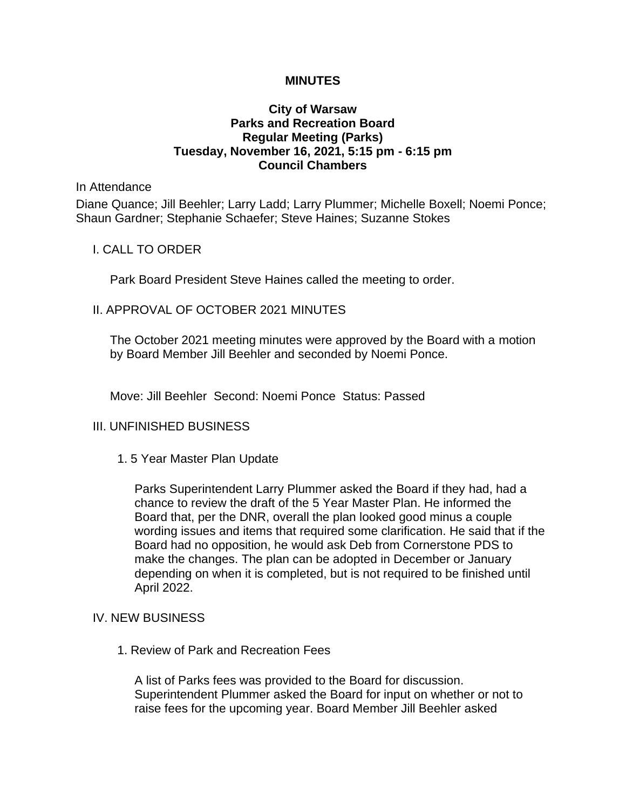## **MINUTES**

## **City of Warsaw Parks and Recreation Board Regular Meeting (Parks) Tuesday, November 16, 2021, 5:15 pm - 6:15 pm Council Chambers**

#### In Attendance

Diane Quance; Jill Beehler; Larry Ladd; Larry Plummer; Michelle Boxell; Noemi Ponce; Shaun Gardner; Stephanie Schaefer; Steve Haines; Suzanne Stokes

### I. CALL TO ORDER

Park Board President Steve Haines called the meeting to order.

## II. APPROVAL OF OCTOBER 2021 MINUTES

The October 2021 meeting minutes were approved by the Board with a motion by Board Member Jill Beehler and seconded by Noemi Ponce.

Move: Jill Beehler Second: Noemi Ponce Status: Passed

## III. UNFINISHED BUSINESS

1. 5 Year Master Plan Update

Parks Superintendent Larry Plummer asked the Board if they had, had a chance to review the draft of the 5 Year Master Plan. He informed the Board that, per the DNR, overall the plan looked good minus a couple wording issues and items that required some clarification. He said that if the Board had no opposition, he would ask Deb from Cornerstone PDS to make the changes. The plan can be adopted in December or January depending on when it is completed, but is not required to be finished until April 2022.

#### IV. NEW BUSINESS

1. Review of Park and Recreation Fees

A list of Parks fees was provided to the Board for discussion. Superintendent Plummer asked the Board for input on whether or not to raise fees for the upcoming year. Board Member Jill Beehler asked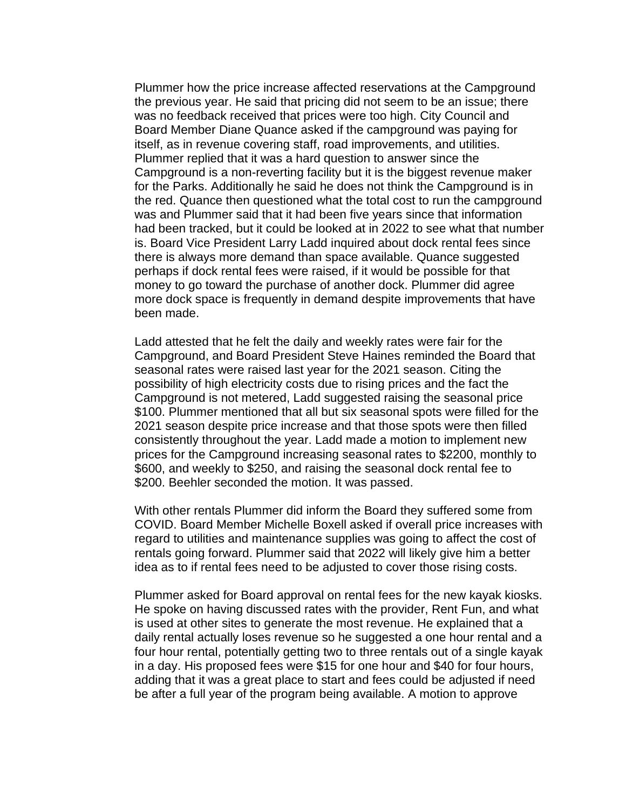Plummer how the price increase affected reservations at the Campground the previous year. He said that pricing did not seem to be an issue; there was no feedback received that prices were too high. City Council and Board Member Diane Quance asked if the campground was paying for itself, as in revenue covering staff, road improvements, and utilities. Plummer replied that it was a hard question to answer since the Campground is a non-reverting facility but it is the biggest revenue maker for the Parks. Additionally he said he does not think the Campground is in the red. Quance then questioned what the total cost to run the campground was and Plummer said that it had been five years since that information had been tracked, but it could be looked at in 2022 to see what that number is. Board Vice President Larry Ladd inquired about dock rental fees since there is always more demand than space available. Quance suggested perhaps if dock rental fees were raised, if it would be possible for that money to go toward the purchase of another dock. Plummer did agree more dock space is frequently in demand despite improvements that have been made.

Ladd attested that he felt the daily and weekly rates were fair for the Campground, and Board President Steve Haines reminded the Board that seasonal rates were raised last year for the 2021 season. Citing the possibility of high electricity costs due to rising prices and the fact the Campground is not metered, Ladd suggested raising the seasonal price \$100. Plummer mentioned that all but six seasonal spots were filled for the 2021 season despite price increase and that those spots were then filled consistently throughout the year. Ladd made a motion to implement new prices for the Campground increasing seasonal rates to \$2200, monthly to \$600, and weekly to \$250, and raising the seasonal dock rental fee to \$200. Beehler seconded the motion. It was passed.

With other rentals Plummer did inform the Board they suffered some from COVID. Board Member Michelle Boxell asked if overall price increases with regard to utilities and maintenance supplies was going to affect the cost of rentals going forward. Plummer said that 2022 will likely give him a better idea as to if rental fees need to be adjusted to cover those rising costs.

Plummer asked for Board approval on rental fees for the new kayak kiosks. He spoke on having discussed rates with the provider, Rent Fun, and what is used at other sites to generate the most revenue. He explained that a daily rental actually loses revenue so he suggested a one hour rental and a four hour rental, potentially getting two to three rentals out of a single kayak in a day. His proposed fees were \$15 for one hour and \$40 for four hours, adding that it was a great place to start and fees could be adjusted if need be after a full year of the program being available. A motion to approve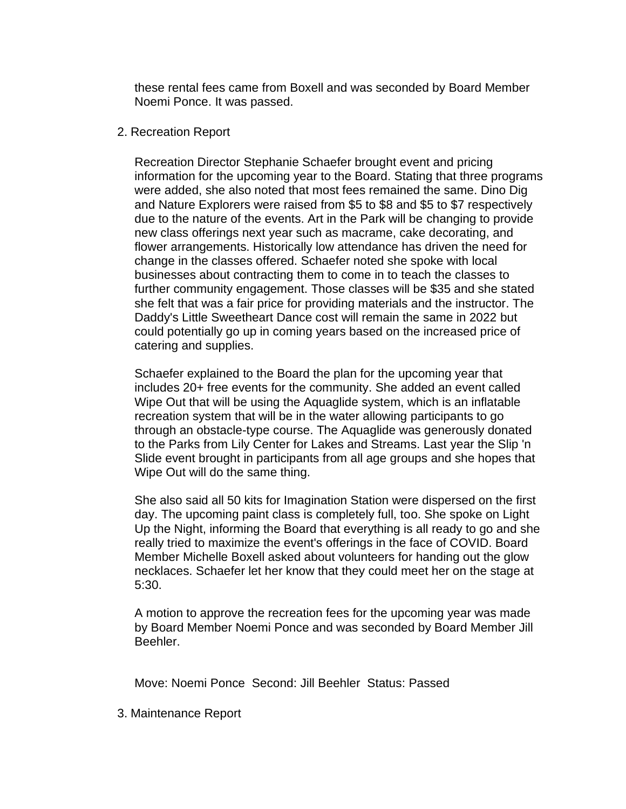these rental fees came from Boxell and was seconded by Board Member Noemi Ponce. It was passed.

## 2. Recreation Report

Recreation Director Stephanie Schaefer brought event and pricing information for the upcoming year to the Board. Stating that three programs were added, she also noted that most fees remained the same. Dino Dig and Nature Explorers were raised from \$5 to \$8 and \$5 to \$7 respectively due to the nature of the events. Art in the Park will be changing to provide new class offerings next year such as macrame, cake decorating, and flower arrangements. Historically low attendance has driven the need for change in the classes offered. Schaefer noted she spoke with local businesses about contracting them to come in to teach the classes to further community engagement. Those classes will be \$35 and she stated she felt that was a fair price for providing materials and the instructor. The Daddy's Little Sweetheart Dance cost will remain the same in 2022 but could potentially go up in coming years based on the increased price of catering and supplies.

Schaefer explained to the Board the plan for the upcoming year that includes 20+ free events for the community. She added an event called Wipe Out that will be using the Aquaglide system, which is an inflatable recreation system that will be in the water allowing participants to go through an obstacle-type course. The Aquaglide was generously donated to the Parks from Lily Center for Lakes and Streams. Last year the Slip 'n Slide event brought in participants from all age groups and she hopes that Wipe Out will do the same thing.

She also said all 50 kits for Imagination Station were dispersed on the first day. The upcoming paint class is completely full, too. She spoke on Light Up the Night, informing the Board that everything is all ready to go and she really tried to maximize the event's offerings in the face of COVID. Board Member Michelle Boxell asked about volunteers for handing out the glow necklaces. Schaefer let her know that they could meet her on the stage at 5:30.

A motion to approve the recreation fees for the upcoming year was made by Board Member Noemi Ponce and was seconded by Board Member Jill Beehler.

Move: Noemi Ponce Second: Jill Beehler Status: Passed

3. Maintenance Report